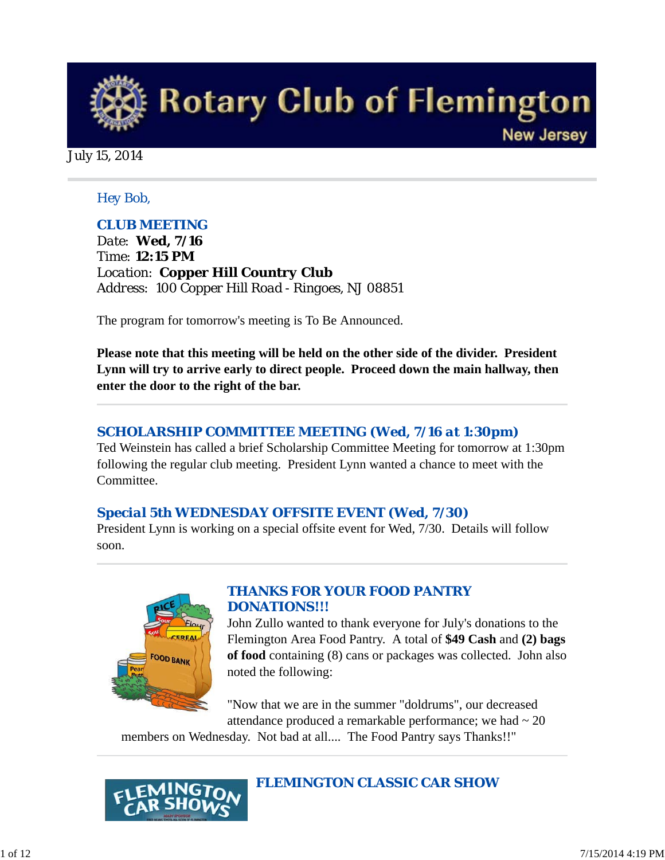

July 15, 2014

### *Hey Bob,*

### *CLUB MEETING*

*Date: Wed, 7/16 Time: 12:15 PM Location: Copper Hill Country Club Address: 100 Copper Hill Road - Ringoes, NJ 08851* 

The program for tomorrow's meeting is To Be Announced.

**Please note that this meeting will be held on the other side of the divider. President Lynn will try to arrive early to direct people. Proceed down the main hallway, then enter the door to the right of the bar.**

### *SCHOLARSHIP COMMITTEE MEETING (Wed, 7/16 at 1:30pm)*

Ted Weinstein has called a brief Scholarship Committee Meeting for tomorrow at 1:30pm following the regular club meeting. President Lynn wanted a chance to meet with the Committee.

### *Special 5th WEDNESDAY OFFSITE EVENT (Wed, 7/30)*

President Lynn is working on a special offsite event for Wed, 7/30. Details will follow soon.



### *THANKS FOR YOUR FOOD PANTRY DONATIONS!!!*

John Zullo wanted to thank everyone for July's donations to the Flemington Area Food Pantry. A total of **\$49 Cash** and **(2) bags of food** containing (8) cans or packages was collected. John also noted the following:

"Now that we are in the summer "doldrums", our decreased attendance produced a remarkable performance; we had  $\sim 20$ 

members on Wednesday. Not bad at all.... The Food Pantry says Thanks!!"



### *FLEMINGTON CLASSIC CAR SHOW*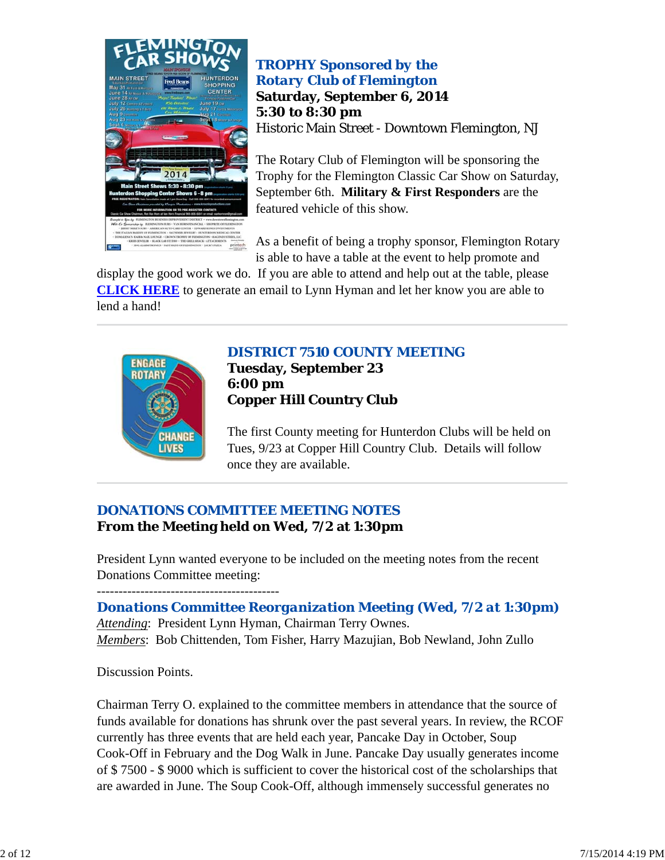

*TROPHY Sponsored by the Rotary Club of Flemington* **Saturday, September 6, 2014 5:30 to 8:30 pm** Historic Main Street - Downtown Flemington, NJ

The Rotary Club of Flemington will be sponsoring the Trophy for the Flemington Classic Car Show on Saturday, September 6th. **Military & First Responders** are the featured vehicle of this show.

As a benefit of being a trophy sponsor, Flemington Rotary is able to have a table at the event to help promote and

display the good work we do. If you are able to attend and help out at the table, please **CLICK HERE** to generate an email to Lynn Hyman and let her know you are able to lend a hand!



### *DISTRICT 7510 COUNTY MEETING* **Tuesday, September 23 6:00 pm Copper Hill Country Club**

The first County meeting for Hunterdon Clubs will be held on Tues, 9/23 at Copper Hill Country Club. Details will follow once they are available.

# *DONATIONS COMMITTEE MEETING NOTES* **From the Meeting held on Wed, 7/2 at 1:30pm**

President Lynn wanted everyone to be included on the meeting notes from the recent Donations Committee meeting:

------------------------------------------

*Donations Committee Reorganization Meeting (Wed, 7/2 at 1:30pm) Attending*: President Lynn Hyman, Chairman Terry Ownes. *Members*: Bob Chittenden, Tom Fisher, Harry Mazujian, Bob Newland, John Zullo

Discussion Points.

Chairman Terry O. explained to the committee members in attendance that the source of funds available for donations has shrunk over the past several years. In review, the RCOF currently has three events that are held each year, Pancake Day in October, Soup Cook-Off in February and the Dog Walk in June. Pancake Day usually generates income of \$ 7500 - \$ 9000 which is sufficient to cover the historical cost of the scholarships that are awarded in June. The Soup Cook-Off, although immensely successful generates no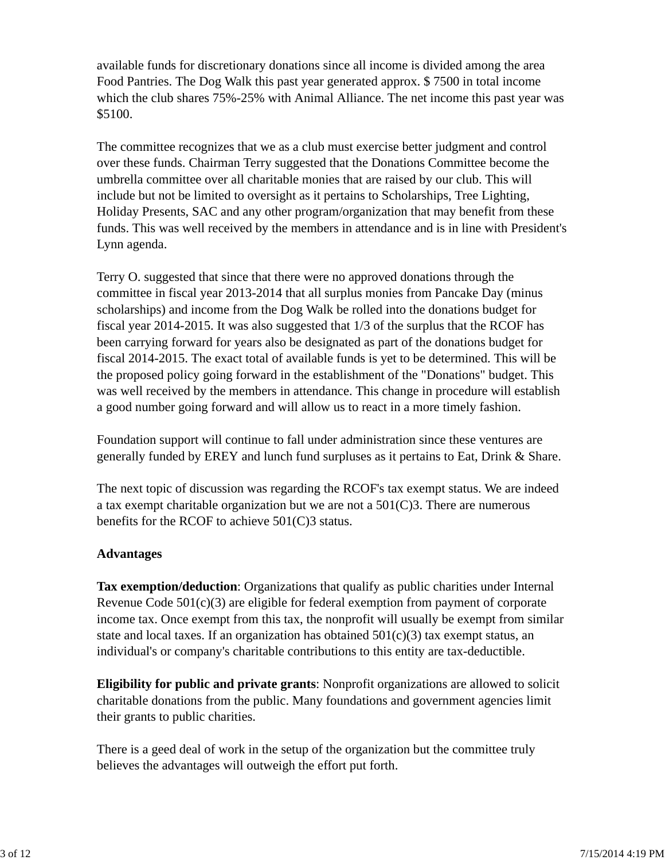available funds for discretionary donations since all income is divided among the area Food Pantries. The Dog Walk this past year generated approx. \$ 7500 in total income which the club shares 75%-25% with Animal Alliance. The net income this past year was \$5100.

The committee recognizes that we as a club must exercise better judgment and control over these funds. Chairman Terry suggested that the Donations Committee become the umbrella committee over all charitable monies that are raised by our club. This will include but not be limited to oversight as it pertains to Scholarships, Tree Lighting, Holiday Presents, SAC and any other program/organization that may benefit from these funds. This was well received by the members in attendance and is in line with President's Lynn agenda.

Terry O. suggested that since that there were no approved donations through the committee in fiscal year 2013-2014 that all surplus monies from Pancake Day (minus scholarships) and income from the Dog Walk be rolled into the donations budget for fiscal year 2014-2015. It was also suggested that 1/3 of the surplus that the RCOF has been carrying forward for years also be designated as part of the donations budget for fiscal 2014-2015. The exact total of available funds is yet to be determined. This will be the proposed policy going forward in the establishment of the "Donations" budget. This was well received by the members in attendance. This change in procedure will establish a good number going forward and will allow us to react in a more timely fashion.

Foundation support will continue to fall under administration since these ventures are generally funded by EREY and lunch fund surpluses as it pertains to Eat, Drink & Share.

The next topic of discussion was regarding the RCOF's tax exempt status. We are indeed a tax exempt charitable organization but we are not a 501(C)3. There are numerous benefits for the RCOF to achieve 501(C)3 status.

### **Advantages**

**Tax exemption/deduction**: Organizations that qualify as public charities under Internal Revenue Code 501(c)(3) are eligible for federal exemption from payment of corporate income tax. Once exempt from this tax, the nonprofit will usually be exempt from similar state and local taxes. If an organization has obtained  $501(c)(3)$  tax exempt status, an individual's or company's charitable contributions to this entity are tax-deductible.

**Eligibility for public and private grants**: Nonprofit organizations are allowed to solicit charitable donations from the public. Many foundations and government agencies limit their grants to public charities.

There is a geed deal of work in the setup of the organization but the committee truly believes the advantages will outweigh the effort put forth.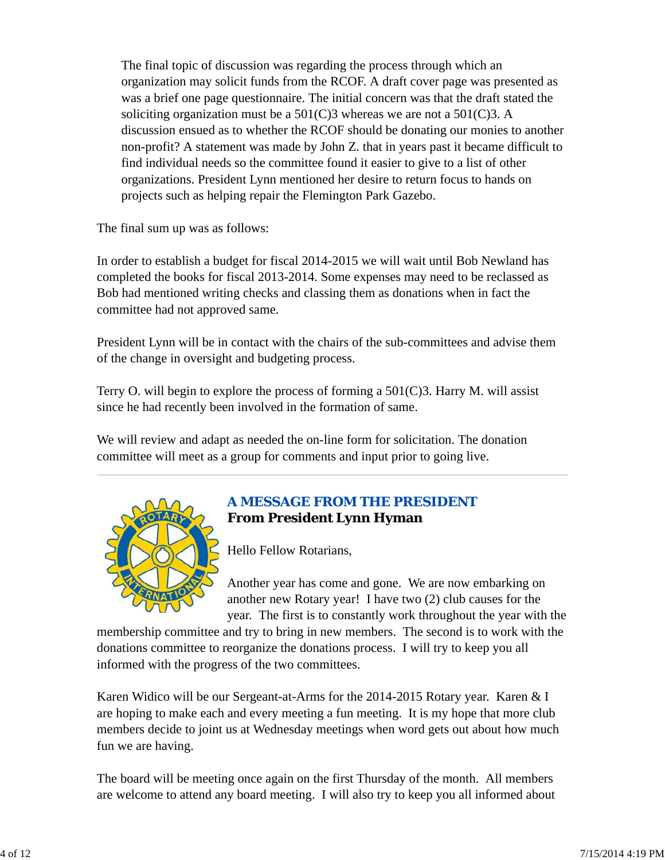The final topic of discussion was regarding the process through which an organization may solicit funds from the RCOF. A draft cover page was presented as was a brief one page questionnaire. The initial concern was that the draft stated the soliciting organization must be a  $501(C)3$  whereas we are not a  $501(C)3$ . A discussion ensued as to whether the RCOF should be donating our monies to another non-profit? A statement was made by John Z. that in years past it became difficult to find individual needs so the committee found it easier to give to a list of other organizations. President Lynn mentioned her desire to return focus to hands on projects such as helping repair the Flemington Park Gazebo.

The final sum up was as follows:

In order to establish a budget for fiscal 2014-2015 we will wait until Bob Newland has completed the books for fiscal 2013-2014. Some expenses may need to be reclassed as Bob had mentioned writing checks and classing them as donations when in fact the committee had not approved same.

President Lynn will be in contact with the chairs of the sub-committees and advise them of the change in oversight and budgeting process.

Terry O. will begin to explore the process of forming a  $501(C)3$ . Harry M. will assist since he had recently been involved in the formation of same.

We will review and adapt as needed the on-line form for solicitation. The donation committee will meet as a group for comments and input prior to going live.



# *A MESSAGE FROM THE PRESIDENT* **From President Lynn Hyman**

Hello Fellow Rotarians,

Another year has come and gone. We are now embarking on another new Rotary year! I have two (2) club causes for the year. The first is to constantly work throughout the year with the

membership committee and try to bring in new members. The second is to work with the donations committee to reorganize the donations process. I will try to keep you all informed with the progress of the two committees.

Karen Widico will be our Sergeant-at-Arms for the 2014-2015 Rotary year. Karen & I are hoping to make each and every meeting a fun meeting. It is my hope that more club members decide to joint us at Wednesday meetings when word gets out about how much fun we are having.

The board will be meeting once again on the first Thursday of the month. All members are welcome to attend any board meeting. I will also try to keep you all informed about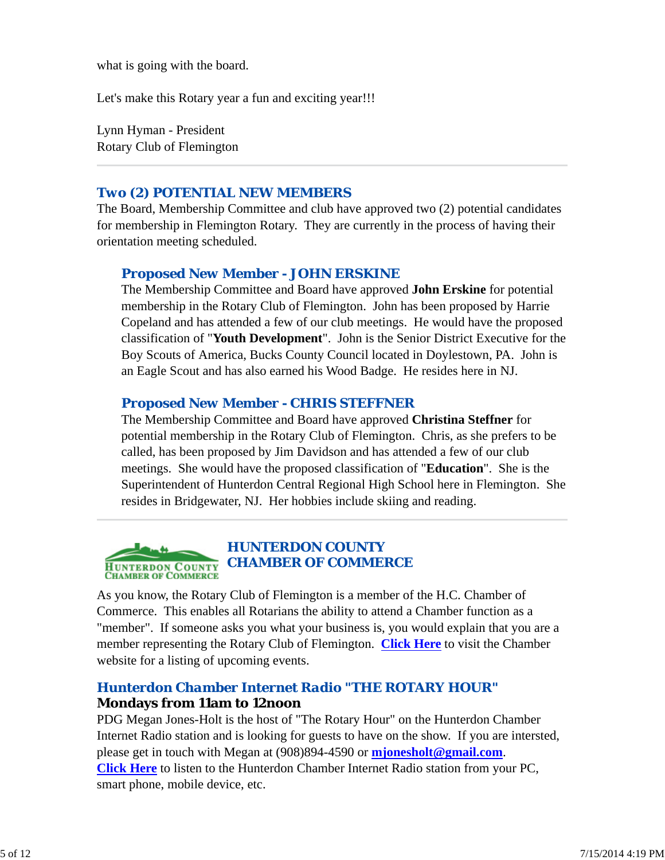what is going with the board.

Let's make this Rotary year a fun and exciting year!!!

Lynn Hyman - President Rotary Club of Flemington

### *Two (2) POTENTIAL NEW MEMBERS*

The Board, Membership Committee and club have approved two (2) potential candidates for membership in Flemington Rotary. They are currently in the process of having their orientation meeting scheduled.

### *Proposed New Member - JOHN ERSKINE*

The Membership Committee and Board have approved **John Erskine** for potential membership in the Rotary Club of Flemington. John has been proposed by Harrie Copeland and has attended a few of our club meetings. He would have the proposed classification of "**Youth Development**". John is the Senior District Executive for the Boy Scouts of America, Bucks County Council located in Doylestown, PA. John is an Eagle Scout and has also earned his Wood Badge. He resides here in NJ.

### *Proposed New Member - CHRIS STEFFNER*

The Membership Committee and Board have approved **Christina Steffner** for potential membership in the Rotary Club of Flemington. Chris, as she prefers to be called, has been proposed by Jim Davidson and has attended a few of our club meetings. She would have the proposed classification of "**Education**". She is the Superintendent of Hunterdon Central Regional High School here in Flemington. She resides in Bridgewater, NJ. Her hobbies include skiing and reading.

#### *HUNTERDON COUNTY CHAMBER OF COMMERCE* **HUNTERDON COUNTY CHAMBER OF COMMERCE**

As you know, the Rotary Club of Flemington is a member of the H.C. Chamber of Commerce. This enables all Rotarians the ability to attend a Chamber function as a "member". If someone asks you what your business is, you would explain that you are a member representing the Rotary Club of Flemington. **Click Here** to visit the Chamber website for a listing of upcoming events.

### *Hunterdon Chamber Internet Radio "THE ROTARY HOUR"* **Mondays from 11am to 12noon**

PDG Megan Jones-Holt is the host of "The Rotary Hour" on the Hunterdon Chamber Internet Radio station and is looking for guests to have on the show. If you are intersted, please get in touch with Megan at (908)894-4590 or **mjonesholt@gmail.com**. **Click Here** to listen to the Hunterdon Chamber Internet Radio station from your PC, smart phone, mobile device, etc.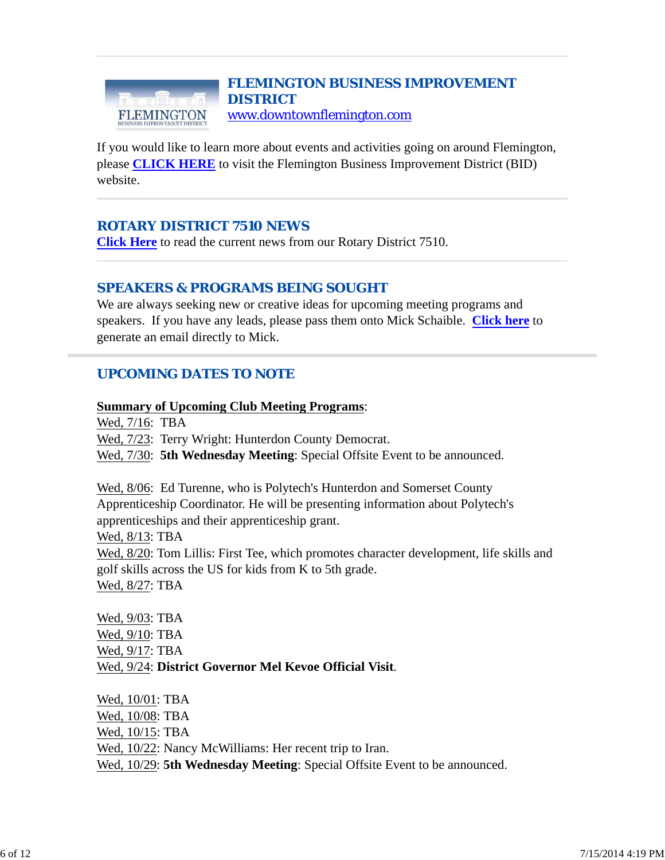#### *FLEMINGTON BUSINESS IMPROVEMENT DISTRICT* www.downtownflemington.com FLEMINGTON

If you would like to learn more about events and activities going on around Flemington, please **CLICK HERE** to visit the Flemington Business Improvement District (BID) website.

# *ROTARY DISTRICT 7510 NEWS*

**Click Here** to read the current news from our Rotary District 7510.

### *SPEAKERS & PROGRAMS BEING SOUGHT*

We are always seeking new or creative ideas for upcoming meeting programs and speakers. If you have any leads, please pass them onto Mick Schaible. **Click here** to generate an email directly to Mick.

# *UPCOMING DATES TO NOTE*

#### **Summary of Upcoming Club Meeting Programs**:

Wed, 7/16: TBA Wed, 7/23: Terry Wright: Hunterdon County Democrat. Wed,  $7/30$ : **5th Wednesday Meeting**: Special Offsite Event to be announced.

Wed, 8/06: Ed Turenne, who is Polytech's Hunterdon and Somerset County Apprenticeship Coordinator. He will be presenting information about Polytech's apprenticeships and their apprenticeship grant.

Wed, 8/13: TBA

Wed, 8/20: Tom Lillis: First Tee, which promotes character development, life skills and golf skills across the US for kids from K to 5th grade.

Wed, 8/27: TBA

Wed, 9/03: TBA Wed, 9/10: TBA Wed, 9/17: TBA Wed, 9/24: **District Governor Mel Kevoe Official Visit**.

Wed, 10/01: TBA Wed, 10/08: TBA Wed, 10/15: TBA Wed, 10/22: Nancy McWilliams: Her recent trip to Iran. Wed, 10/29: **5th Wednesday Meeting**: Special Offsite Event to be announced.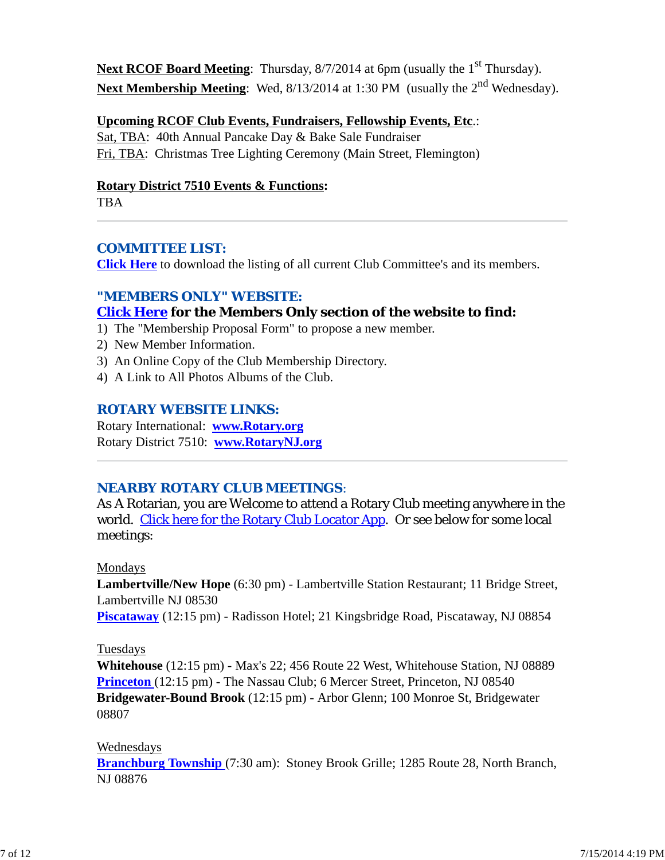**Next RCOF Board Meeting**: Thursday, 8/7/2014 at 6pm (usually the 1<sup>st</sup> Thursday). Next Membership Meeting: Wed, 8/13/2014 at 1:30 PM (usually the 2<sup>nd</sup> Wednesday).

#### **Upcoming RCOF Club Events, Fundraisers, Fellowship Events, Etc**.:

Sat, TBA: 40th Annual Pancake Day & Bake Sale Fundraiser Fri, TBA: Christmas Tree Lighting Ceremony (Main Street, Flemington)

#### **Rotary District 7510 Events & Functions:**

TBA

### *COMMITTEE LIST:*

**Click Here** to download the listing of all current Club Committee's and its members.

#### *"MEMBERS ONLY" WEBSITE:*

### **Click Here for the Members Only section of the website to find:**

- 1) The "Membership Proposal Form" to propose a new member.
- 2) New Member Information.
- 3) An Online Copy of the Club Membership Directory.
- 4) A Link to All Photos Albums of the Club.

### *ROTARY WEBSITE LINKS:*

Rotary International: **www.Rotary.org** Rotary District 7510: **www.RotaryNJ.org**

#### *NEARBY ROTARY CLUB MEETINGS:*

As A Rotarian, you are Welcome to attend a Rotary Club meeting anywhere in the world. Click here for the Rotary Club Locator App. Or see below for some local meetings:

#### Mondays

**Lambertville/New Hope** (6:30 pm) - Lambertville Station Restaurant; 11 Bridge Street, Lambertville NJ 08530

**Piscataway** (12:15 pm) - Radisson Hotel; 21 Kingsbridge Road, Piscataway, NJ 08854

#### Tuesdays

**Whitehouse** (12:15 pm) - Max's 22; 456 Route 22 West, Whitehouse Station, NJ 08889 **Princeton** (12:15 pm) - The Nassau Club; 6 Mercer Street, Princeton, NJ 08540 **Bridgewater-Bound Brook** (12:15 pm) - Arbor Glenn; 100 Monroe St, Bridgewater 08807

#### Wednesdays

**Branchburg Township** (7:30 am): Stoney Brook Grille; 1285 Route 28, North Branch, NJ 08876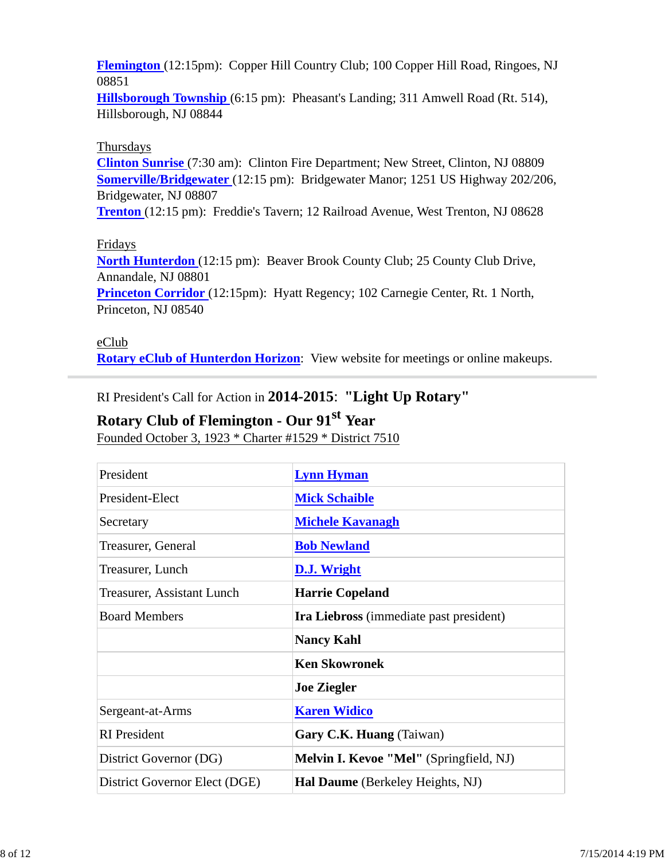**Flemington** (12:15pm): Copper Hill Country Club; 100 Copper Hill Road, Ringoes, NJ 08851

**Hillsborough Township** (6:15 pm): Pheasant's Landing; 311 Amwell Road (Rt. 514), Hillsborough, NJ 08844

### Thursdays

**Clinton Sunrise** (7:30 am): Clinton Fire Department; New Street, Clinton, NJ 08809 **Somerville/Bridgewater** (12:15 pm): Bridgewater Manor; 1251 US Highway 202/206, Bridgewater, NJ 08807

**Trenton** (12:15 pm): Freddie's Tavern; 12 Railroad Avenue, West Trenton, NJ 08628

### Fridays

**North Hunterdon** (12:15 pm): Beaver Brook County Club; 25 County Club Drive, Annandale, NJ 08801

**Princeton Corridor** (12:15pm): Hyatt Regency; 102 Carnegie Center, Rt. 1 North, Princeton, NJ 08540

#### eClub

**Rotary eClub of Hunterdon Horizon**: View website for meetings or online makeups.

RI President's Call for Action in **2014-2015**: **"Light Up Rotary"**

# **Rotary Club of Flemington - Our 91st Year**

Founded October 3, 1923 \* Charter #1529 \* District 7510

| President                     | <b>Lynn Hyman</b>                              |
|-------------------------------|------------------------------------------------|
| President-Elect               | <b>Mick Schaible</b>                           |
| Secretary                     | <b>Michele Kavanagh</b>                        |
| Treasurer, General            | <b>Bob Newland</b>                             |
| Treasurer, Lunch              | D.J. Wright                                    |
| Treasurer, Assistant Lunch    | <b>Harrie Copeland</b>                         |
| <b>Board Members</b>          | <b>Ira Liebross</b> (immediate past president) |
|                               | <b>Nancy Kahl</b>                              |
|                               | <b>Ken Skowronek</b>                           |
|                               | <b>Joe Ziegler</b>                             |
| Sergeant-at-Arms              | <b>Karen Widico</b>                            |
| <b>RI</b> President           | Gary C.K. Huang (Taiwan)                       |
| District Governor (DG)        | Melvin I. Kevoe "Mel" (Springfield, NJ)        |
| District Governor Elect (DGE) | Hal Daume (Berkeley Heights, NJ)               |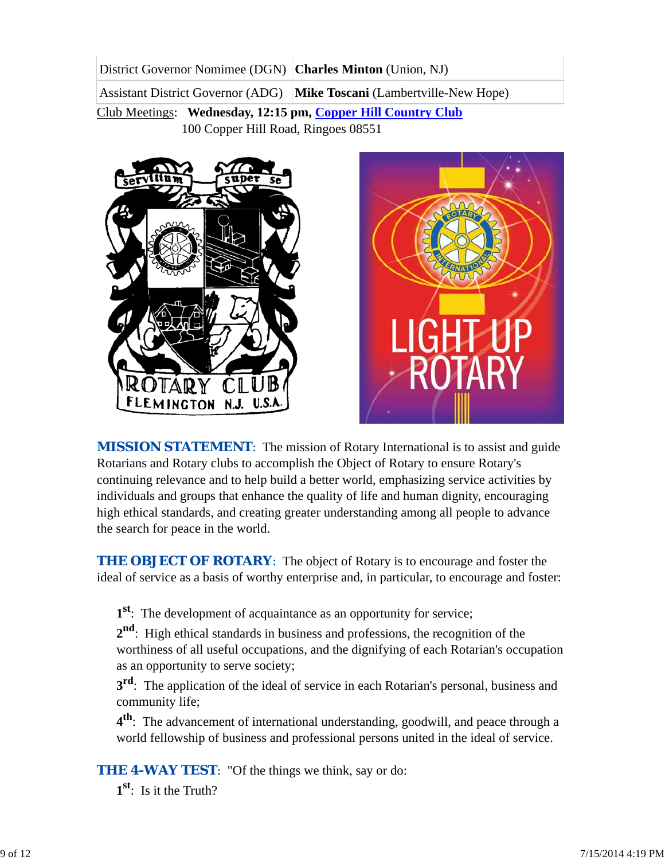District Governor Nomimee (DGN) **Charles Minton** (Union, NJ) Assistant District Governor (ADG) **Mike Toscani** (Lambertville-New Hope)

Club Meetings: **Wednesday, 12:15 pm, Copper Hill Country Club** 100 Copper Hill Road, Ringoes 08551





*MISSION STATEMENT*: The mission of Rotary International is to assist and guide Rotarians and Rotary clubs to accomplish the Object of Rotary to ensure Rotary's continuing relevance and to help build a better world, emphasizing service activities by individuals and groups that enhance the quality of life and human dignity, encouraging high ethical standards, and creating greater understanding among all people to advance the search for peace in the world.

**THE OBJECT OF ROTARY:** The object of Rotary is to encourage and foster the ideal of service as a basis of worthy enterprise and, in particular, to encourage and foster:

**1st**: The development of acquaintance as an opportunity for service;

**2nd**: High ethical standards in business and professions, the recognition of the worthiness of all useful occupations, and the dignifying of each Rotarian's occupation as an opportunity to serve society;

**3<sup>rd</sup>**: The application of the ideal of service in each Rotarian's personal, business and community life;

**4th**: The advancement of international understanding, goodwill, and peace through a world fellowship of business and professional persons united in the ideal of service.

**THE 4-WAY TEST:** "Of the things we think, say or do:

**1st**: Is it the Truth?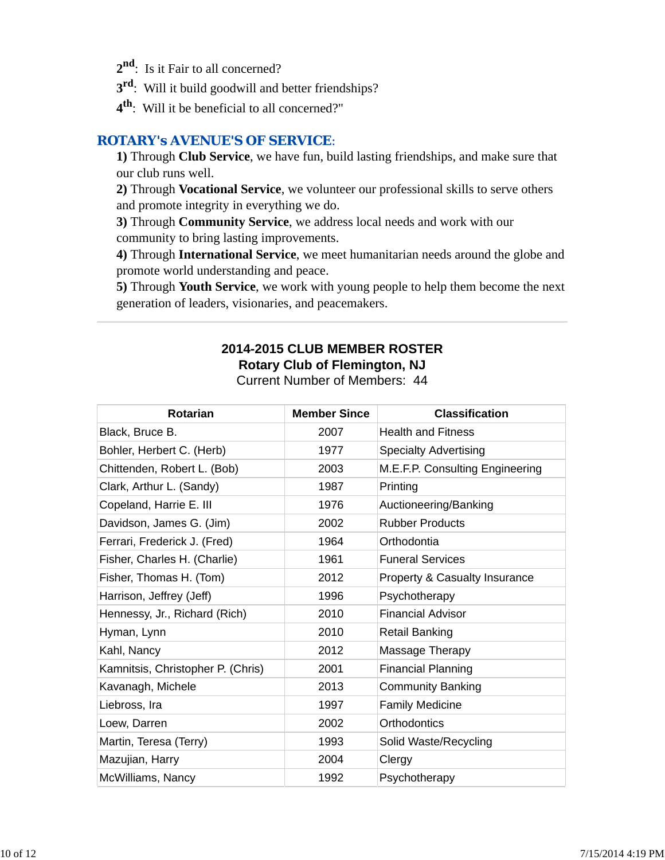- 2<sup>nd</sup>: Is it Fair to all concerned?
- **3rd**: Will it build goodwill and better friendships?
- **4th**: Will it be beneficial to all concerned?"

### *ROTARY's AVENUE'S OF SERVICE*:

**1)** Through **Club Service**, we have fun, build lasting friendships, and make sure that our club runs well.

**2)** Through **Vocational Service**, we volunteer our professional skills to serve others and promote integrity in everything we do.

**3)** Through **Community Service**, we address local needs and work with our community to bring lasting improvements.

**4)** Through **International Service**, we meet humanitarian needs around the globe and promote world understanding and peace.

**5)** Through **Youth Service**, we work with young people to help them become the next generation of leaders, visionaries, and peacemakers.

### **2014-2015 CLUB MEMBER ROSTER Rotary Club of Flemington, NJ** Current Number of Members: 44

| <b>Rotarian</b>                   | <b>Member Since</b> | <b>Classification</b>           |
|-----------------------------------|---------------------|---------------------------------|
| Black, Bruce B.                   | 2007                | <b>Health and Fitness</b>       |
| Bohler, Herbert C. (Herb)         | 1977                | <b>Specialty Advertising</b>    |
| Chittenden, Robert L. (Bob)       | 2003                | M.E.F.P. Consulting Engineering |
| Clark, Arthur L. (Sandy)          | 1987                | Printing                        |
| Copeland, Harrie E. III           | 1976                | Auctioneering/Banking           |
| Davidson, James G. (Jim)          | 2002                | <b>Rubber Products</b>          |
| Ferrari, Frederick J. (Fred)      | 1964                | Orthodontia                     |
| Fisher, Charles H. (Charlie)      | 1961                | <b>Funeral Services</b>         |
| Fisher, Thomas H. (Tom)           | 2012                | Property & Casualty Insurance   |
| Harrison, Jeffrey (Jeff)          | 1996                | Psychotherapy                   |
| Hennessy, Jr., Richard (Rich)     | 2010                | <b>Financial Advisor</b>        |
| Hyman, Lynn                       | 2010                | <b>Retail Banking</b>           |
| Kahl, Nancy                       | 2012                | Massage Therapy                 |
| Kamnitsis, Christopher P. (Chris) | 2001                | <b>Financial Planning</b>       |
| Kavanagh, Michele                 | 2013                | <b>Community Banking</b>        |
| Liebross, Ira                     | 1997                | <b>Family Medicine</b>          |
| Loew, Darren                      | 2002                | Orthodontics                    |
| Martin, Teresa (Terry)            | 1993                | Solid Waste/Recycling           |
| Mazujian, Harry                   | 2004                | Clergy                          |
| McWilliams, Nancy                 | 1992                | Psychotherapy                   |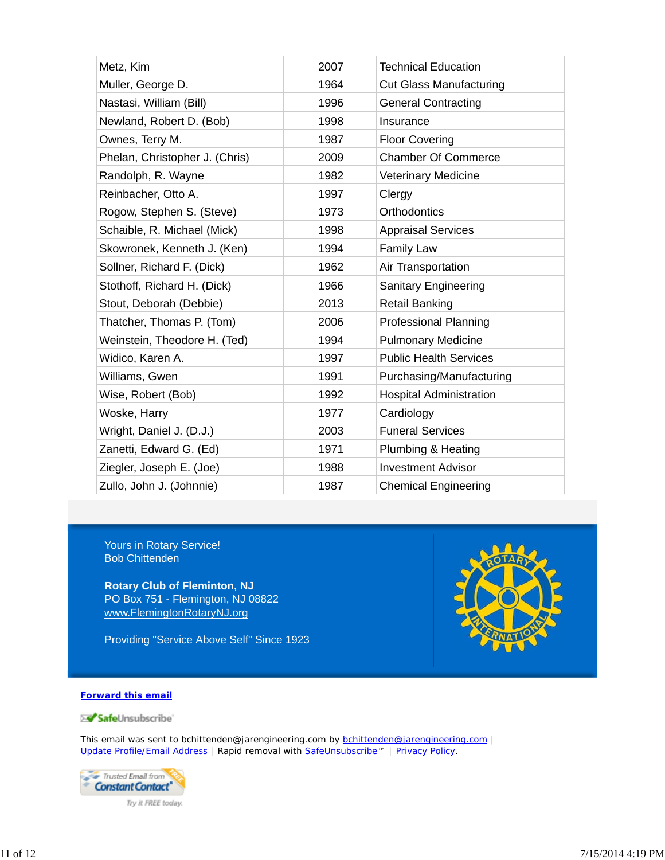| Metz, Kim                      | 2007 | <b>Technical Education</b>     |
|--------------------------------|------|--------------------------------|
| Muller, George D.              | 1964 | <b>Cut Glass Manufacturing</b> |
| Nastasi, William (Bill)        | 1996 | <b>General Contracting</b>     |
| Newland, Robert D. (Bob)       | 1998 | Insurance                      |
| Ownes, Terry M.                | 1987 | <b>Floor Covering</b>          |
| Phelan, Christopher J. (Chris) | 2009 | <b>Chamber Of Commerce</b>     |
| Randolph, R. Wayne             | 1982 | <b>Veterinary Medicine</b>     |
| Reinbacher, Otto A.            | 1997 | Clergy                         |
| Rogow, Stephen S. (Steve)      | 1973 | Orthodontics                   |
| Schaible, R. Michael (Mick)    | 1998 | <b>Appraisal Services</b>      |
| Skowronek, Kenneth J. (Ken)    | 1994 | <b>Family Law</b>              |
| Sollner, Richard F. (Dick)     | 1962 | Air Transportation             |
| Stothoff, Richard H. (Dick)    | 1966 | <b>Sanitary Engineering</b>    |
| Stout, Deborah (Debbie)        | 2013 | <b>Retail Banking</b>          |
| Thatcher, Thomas P. (Tom)      | 2006 | <b>Professional Planning</b>   |
| Weinstein, Theodore H. (Ted)   | 1994 | <b>Pulmonary Medicine</b>      |
| Widico, Karen A.               | 1997 | <b>Public Health Services</b>  |
| Williams, Gwen                 | 1991 | Purchasing/Manufacturing       |
| Wise, Robert (Bob)             | 1992 | <b>Hospital Administration</b> |
| Woske, Harry                   | 1977 | Cardiology                     |
| Wright, Daniel J. (D.J.)       | 2003 | <b>Funeral Services</b>        |
| Zanetti, Edward G. (Ed)        | 1971 | Plumbing & Heating             |
| Ziegler, Joseph E. (Joe)       | 1988 | <b>Investment Advisor</b>      |
| Zullo, John J. (Johnnie)       | 1987 | <b>Chemical Engineering</b>    |

Yours in Rotary Service! Bob Chittenden

**Rotary Club of Fleminton, NJ** PO Box 751 - Flemington, NJ 08822 www.FlemingtonRotaryNJ.org

Providing "Service Above Self" Since 1923



#### **Forward this email**

SafeUnsubscribe

This email was sent to bchittenden@jarengineering.com by **bchittenden@jarengineering.com** | Update Profile/Email Address | Rapid removal with SafeUnsubscribe™ | Privacy Policy.